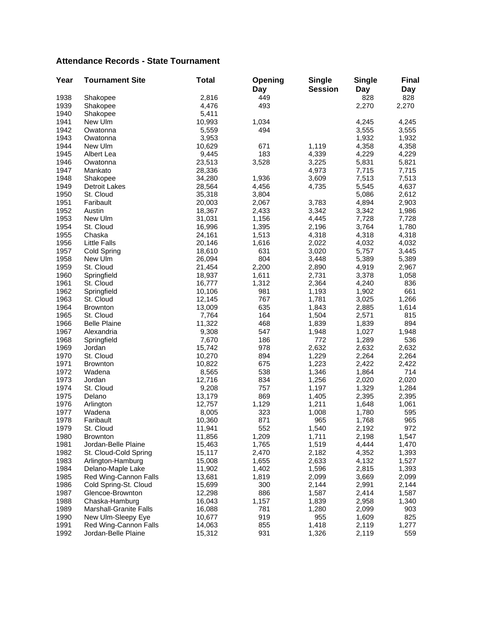## **Attendance Records - State Tournament**

| Year | <b>Tournament Site</b>        | <b>Total</b> | Opening<br>Day | <b>Single</b><br><b>Session</b> | <b>Single</b><br>Day | <b>Final</b><br>Day |
|------|-------------------------------|--------------|----------------|---------------------------------|----------------------|---------------------|
| 1938 | Shakopee                      | 2,816        | 449            |                                 | 828                  | 828                 |
| 1939 | Shakopee                      | 4,476        | 493            |                                 | 2,270                | 2,270               |
| 1940 | Shakopee                      | 5,411        |                |                                 |                      |                     |
| 1941 | New Ulm                       | 10,993       | 1,034          |                                 | 4,245                | 4,245               |
| 1942 | Owatonna                      | 5,559        | 494            |                                 | 3,555                | 3,555               |
| 1943 | Owatonna                      | 3,953        |                |                                 | 1,932                | 1,932               |
| 1944 | New Ulm                       | 10,629       | 671            | 1,119                           | 4,358                | 4,358               |
| 1945 | Albert Lea                    | 9,445        | 183            | 4,339                           | 4,229                | 4,229               |
| 1946 | Owatonna                      | 23,513       | 3,528          | 3,225                           | 5,831                | 5,821               |
| 1947 | Mankato                       | 28,336       |                | 4,973                           | 7,715                | 7,715               |
| 1948 | Shakopee                      | 34,280       | 1,936          | 3,609                           | 7,513                | 7,513               |
| 1949 | <b>Detroit Lakes</b>          | 28,564       | 4,456          | 4,735                           | 5,545                | 4,637               |
| 1950 | St. Cloud                     | 35,318       | 3,804          |                                 | 5,086                | 2,612               |
| 1951 | Faribault                     | 20,003       | 2,067          | 3,783                           | 4,894                | 2,903               |
| 1952 | Austin                        | 18,367       | 2,433          | 3,342                           | 3,342                | 1,986               |
| 1953 | New Ulm                       | 31,031       | 1,156          | 4,445                           | 7,728                | 7,728               |
| 1954 | St. Cloud                     | 16,996       | 1,395          | 2,196                           | 3,764                | 1,780               |
| 1955 | Chaska                        | 24,161       | 1,513          | 4,318                           | 4,318                | 4,318               |
| 1956 | <b>Little Falls</b>           | 20,146       | 1,616          | 2,022                           | 4,032                | 4,032               |
| 1957 | Cold Spring                   | 18,610       | 631            | 3,020                           | 5,757                | 3,445               |
| 1958 | New Ulm                       | 26,094       | 804            | 3,448                           | 5,389                | 5,389               |
| 1959 | St. Cloud                     | 21,454       | 2,200          | 2,890                           | 4,919                | 2,967               |
| 1960 | Springfield                   | 18,937       | 1,611          | 2,731                           | 3,378                | 1,058               |
| 1961 | St. Cloud                     | 16,777       | 1,312          | 2,364                           | 4,240                | 836                 |
| 1962 | Springfield                   | 10,106       | 981            | 1,193                           | 1,902                | 661                 |
| 1963 | St. Cloud                     | 12,145       | 767            | 1,781                           | 3,025                | 1,266               |
| 1964 | <b>Brownton</b>               | 13,009       | 635            | 1,843                           | 2,885                | 1,614               |
| 1965 | St. Cloud                     | 7,764        | 164            | 1,504                           | 2,571                | 815                 |
| 1966 | <b>Belle Plaine</b>           | 11,322       | 468            | 1,839                           | 1,839                | 894                 |
| 1967 | Alexandria                    | 9,308        | 547            | 1,948                           | 1,027                | 1,948               |
| 1968 | Springfield                   | 7,670        | 186            | 772                             | 1,289                | 536                 |
| 1969 | Jordan                        | 15,742       | 978            | 2,632                           | 2,632                | 2,632               |
| 1970 | St. Cloud                     | 10,270       | 894            | 1,229                           | 2,264                | 2,264               |
| 1971 | <b>Brownton</b>               | 10,822       | 675            | 1,223                           | 2,422                | 2,422               |
| 1972 | Wadena                        | 8,565        | 538            | 1,346                           | 1,864                | 714                 |
| 1973 | Jordan                        | 12,716       | 834            | 1,256                           | 2,020                | 2,020               |
| 1974 | St. Cloud                     | 9,208        | 757            | 1,197                           | 1,329                | 1,284               |
| 1975 | Delano                        | 13,179       | 869            | 1,405                           | 2,395                | 2,395               |
| 1976 | Arlington                     | 12,757       | 1,129          | 1,211                           | 1,648                | 1,061               |
| 1977 | Wadena                        | 8,005        | 323            | 1,008                           | 1,780                | 595                 |
| 1978 | Faribault                     | 10,360       | 871            | 965                             | 1,768                | 965                 |
| 1979 | St. Cloud                     | 11,941       | 552            | 1,540                           | 2,192                | 972                 |
| 1980 | <b>Brownton</b>               | 11,856       | 1,209          | 1,711                           | 2,198                | 1,547               |
| 1981 | Jordan-Belle Plaine           | 15,463       | 1,765          | 1,519                           | 4,444                | 1,470               |
| 1982 | St. Cloud-Cold Spring         | 15,117       | 2,470          | 2,182                           | 4,352                | 1,393               |
| 1983 | Arlington-Hamburg             | 15,008       | 1,655          | 2,633                           | 4,132                | 1,527               |
| 1984 | Delano-Maple Lake             | 11,902       | 1,402          | 1,596                           | 2,815                | 1,393               |
| 1985 | Red Wing-Cannon Falls         | 13,681       | 1,819          | 2,099                           | 3,669                | 2,099               |
| 1986 | Cold Spring-St. Cloud         | 15,699       | 300            | 2,144                           | 2,991                | 2,144               |
| 1987 | Glencoe-Brownton              | 12,298       | 886            | 1,587                           | 2,414                | 1,587               |
| 1988 | Chaska-Hamburg                | 16,043       | 1,157          | 1,839                           | 2,958                | 1,340               |
| 1989 | <b>Marshall-Granite Falls</b> | 16,088       | 781            | 1,280                           | 2,099                | 903                 |
| 1990 | New Ulm-Sleepy Eye            | 10,677       | 919            | 955                             | 1,609                | 825                 |
| 1991 | Red Wing-Cannon Falls         | 14,063       | 855            | 1,418                           | 2,119                | 1,277               |
| 1992 | Jordan-Belle Plaine           | 15,312       | 931            | 1,326                           | 2,119                | 559                 |